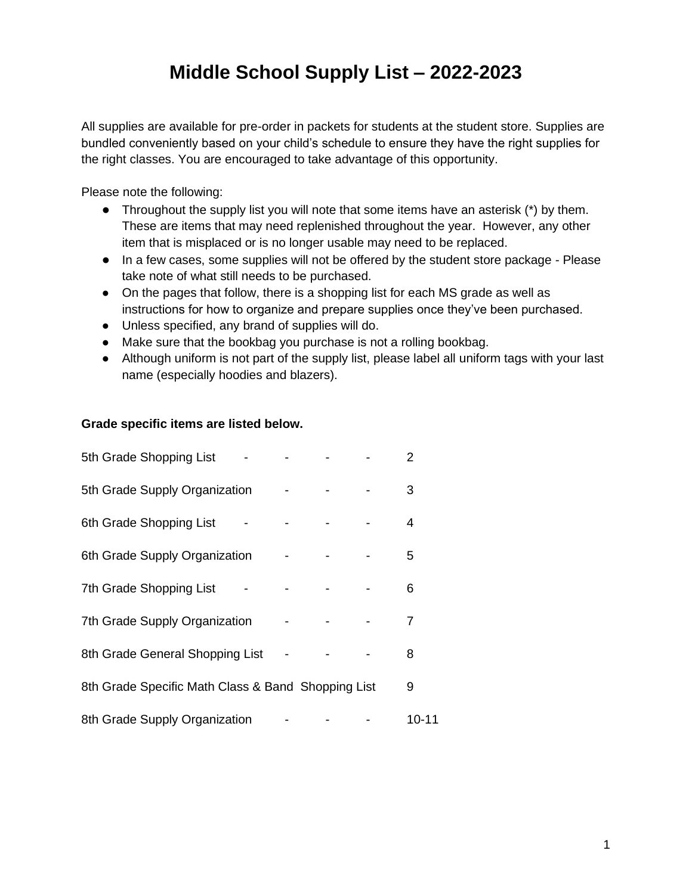# **Middle School Supply List – 2022-2023**

All supplies are available for pre-order in packets for students at the student store. Supplies are bundled conveniently based on your child's schedule to ensure they have the right supplies for the right classes. You are encouraged to take advantage of this opportunity.

Please note the following:

- $\bullet$  Throughout the supply list you will note that some items have an asterisk  $(*)$  by them. These are items that may need replenished throughout the year. However, any other item that is misplaced or is no longer usable may need to be replaced.
- In a few cases, some supplies will not be offered by the student store package Please take note of what still needs to be purchased.
- On the pages that follow, there is a shopping list for each MS grade as well as instructions for how to organize and prepare supplies once they've been purchased.
- Unless specified, any brand of supplies will do.
- Make sure that the bookbag you purchase is not a rolling bookbag.
- Although uniform is not part of the supply list, please label all uniform tags with your last name (especially hoodies and blazers).

### **Grade specific items are listed below.**

| 5th Grade Shopping List                            |  | 2     |  |
|----------------------------------------------------|--|-------|--|
| 5th Grade Supply Organization                      |  | 3     |  |
| 6th Grade Shopping List                            |  | 4     |  |
| 6th Grade Supply Organization                      |  | 5     |  |
| 7th Grade Shopping List                            |  | 6     |  |
| 7th Grade Supply Organization                      |  | 7     |  |
| 8th Grade General Shopping List                    |  | 8     |  |
| 8th Grade Specific Math Class & Band Shopping List |  | 9     |  |
| 8th Grade Supply Organization                      |  | 10-11 |  |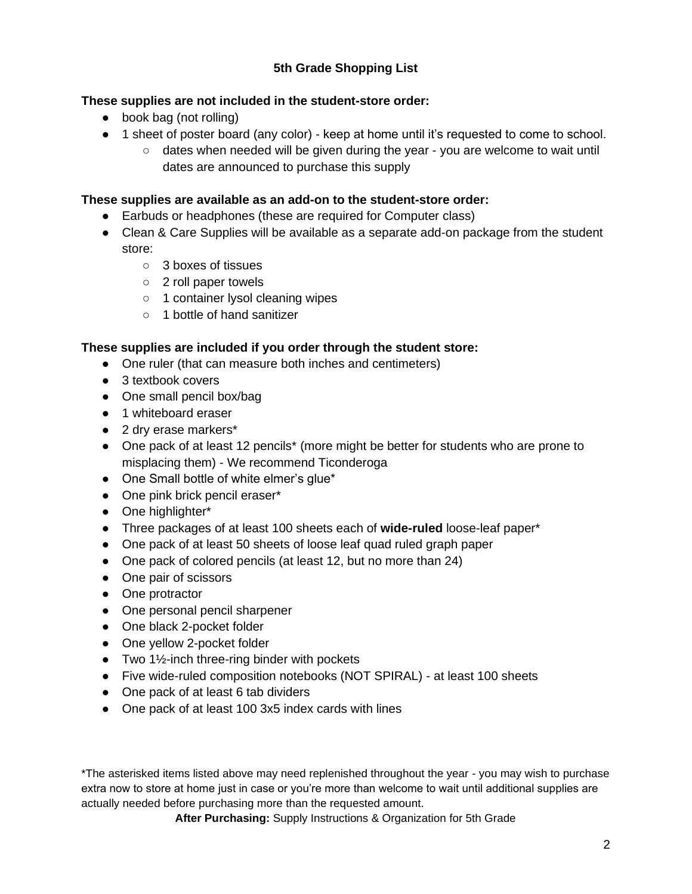# **5th Grade Shopping List**

## **These supplies are not included in the student-store order:**

- book bag (not rolling)
- 1 sheet of poster board (any color) keep at home until it's requested to come to school.
	- dates when needed will be given during the year you are welcome to wait until dates are announced to purchase this supply

## **These supplies are available as an add-on to the student-store order:**

- Earbuds or headphones (these are required for Computer class)
- Clean & Care Supplies will be available as a separate add-on package from the student store:
	- 3 boxes of tissues
	- 2 roll paper towels
	- 1 container lysol cleaning wipes
	- 1 bottle of hand sanitizer

## **These supplies are included if you order through the student store:**

- One ruler (that can measure both inches and centimeters)
- 3 textbook covers
- One small pencil box/bag
- 1 whiteboard eraser
- 2 dry erase markers<sup>\*</sup>
- One pack of at least 12 pencils<sup>\*</sup> (more might be better for students who are prone to misplacing them) - We recommend Ticonderoga
- One Small bottle of white elmer's glue\*
- One pink brick pencil eraser\*
- One highlighter\*
- Three packages of at least 100 sheets each of **wide-ruled** loose-leaf paper\*
- One pack of at least 50 sheets of loose leaf quad ruled graph paper
- One pack of colored pencils (at least 12, but no more than 24)
- One pair of scissors
- One protractor
- One personal pencil sharpener
- One black 2-pocket folder
- One yellow 2-pocket folder
- $\bullet$  Two 1½-inch three-ring binder with pockets
- Five wide-ruled composition notebooks (NOT SPIRAL) at least 100 sheets
- One pack of at least 6 tab dividers
- One pack of at least 100 3x5 index cards with lines

\*The asterisked items listed above may need replenished throughout the year - you may wish to purchase extra now to store at home just in case or you're more than welcome to wait until additional supplies are actually needed before purchasing more than the requested amount.

**After Purchasing:** Supply Instructions & Organization for 5th Grade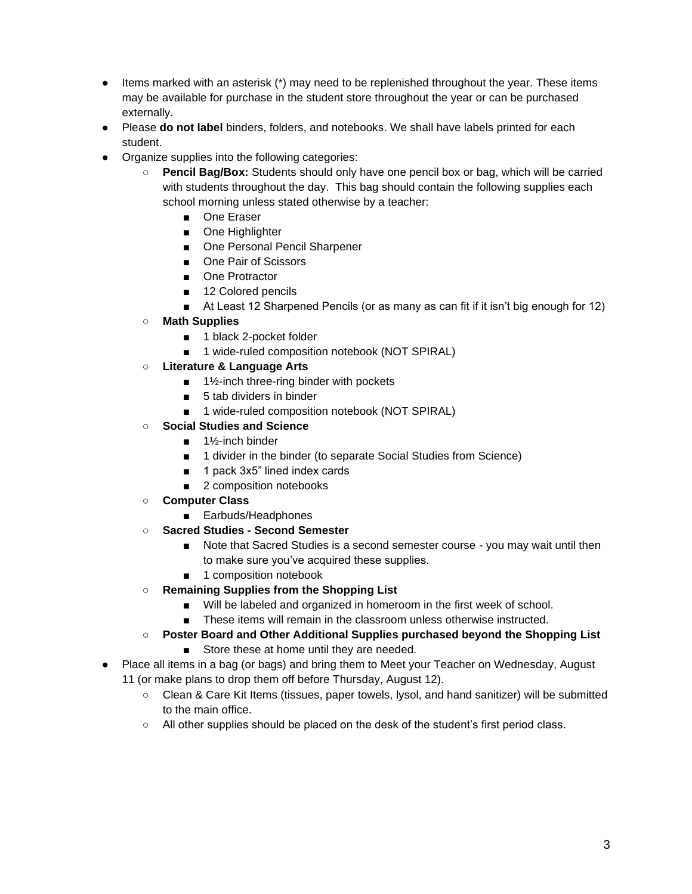- Items marked with an asterisk (\*) may need to be replenished throughout the year. These items may be available for purchase in the student store throughout the year or can be purchased externally.
- Please **do not label** binders, folders, and notebooks. We shall have labels printed for each student.
- Organize supplies into the following categories:
	- **Pencil Bag/Box:** Students should only have one pencil box or bag, which will be carried with students throughout the day. This bag should contain the following supplies each school morning unless stated otherwise by a teacher:
		- One Eraser
		- One Highlighter
		- One Personal Pencil Sharpener
		- One Pair of Scissors
		- One Protractor
		- 12 Colored pencils
		- At Least 12 Sharpened Pencils (or as many as can fit if it isn't big enough for 12)
	- **Math Supplies**
		- 1 black 2-pocket folder
		- 1 wide-ruled composition notebook (NOT SPIRAL)
	- **Literature & Language Arts**
		- 1½-inch three-ring binder with pockets
		- 5 tab dividers in binder
		- 1 wide-ruled composition notebook (NOT SPIRAL)
	- **Social Studies and Science**
		- 1½-inch binder
		- 1 divider in the binder (to separate Social Studies from Science)
		- 1 pack 3x5" lined index cards
		- 2 composition notebooks
	- **Computer Class**
		- Earbuds/Headphones
	- **Sacred Studies - Second Semester**
		- Note that Sacred Studies is a second semester course you may wait until then to make sure you've acquired these supplies.
		- 1 composition notebook
	- **Remaining Supplies from the Shopping List**
		- Will be labeled and organized in homeroom in the first week of school.
		- These items will remain in the classroom unless otherwise instructed.
	- **Poster Board and Other Additional Supplies purchased beyond the Shopping List** ■ Store these at home until they are needed.
- Place all items in a bag (or bags) and bring them to Meet your Teacher on Wednesday, August 11 (or make plans to drop them off before Thursday, August 12).
	- Clean & Care Kit Items (tissues, paper towels, lysol, and hand sanitizer) will be submitted to the main office.
	- All other supplies should be placed on the desk of the student's first period class.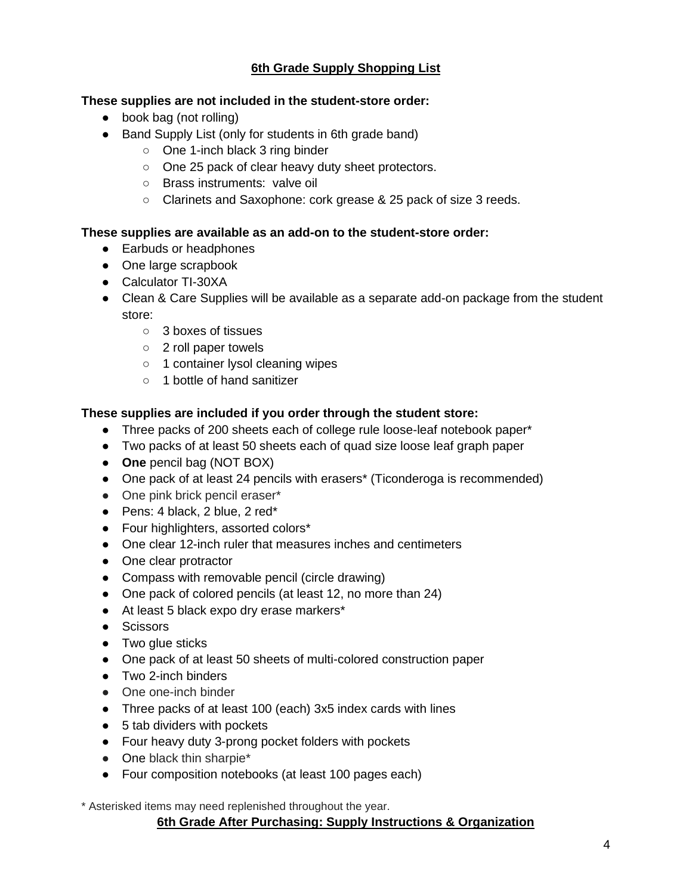## **6th Grade Supply Shopping List**

## **These supplies are not included in the student-store order:**

- book bag (not rolling)
- Band Supply List (only for students in 6th grade band)
	- One 1-inch black 3 ring binder
	- One 25 pack of clear heavy duty sheet protectors.
	- Brass instruments: valve oil
	- Clarinets and Saxophone: cork grease & 25 pack of size 3 reeds.

### **These supplies are available as an add-on to the student-store order:**

- Earbuds or headphones
- One large scrapbook
- Calculator TI-30XA
- Clean & Care Supplies will be available as a separate add-on package from the student store:
	- 3 boxes of tissues
	- 2 roll paper towels
	- 1 container lysol cleaning wipes
	- 1 bottle of hand sanitizer

## **These supplies are included if you order through the student store:**

- Three packs of 200 sheets each of college rule loose-leaf notebook paper\*
- Two packs of at least 50 sheets each of quad size loose leaf graph paper
- **One** pencil bag (NOT BOX)
- One pack of at least 24 pencils with erasers<sup>\*</sup> (Ticonderoga is recommended)
- One pink brick pencil eraser\*
- $\bullet$  Pens: 4 black, 2 blue, 2 red\*
- Four highlighters, assorted colors\*
- One clear 12-inch ruler that measures inches and centimeters
- One clear protractor
- Compass with removable pencil (circle drawing)
- One pack of colored pencils (at least 12, no more than 24)
- At least 5 black expo dry erase markers\*
- Scissors
- Two glue sticks
- One pack of at least 50 sheets of multi-colored construction paper
- Two 2-inch binders
- One one-inch binder
- Three packs of at least 100 (each) 3x5 index cards with lines
- 5 tab dividers with pockets
- Four heavy duty 3-prong pocket folders with pockets
- One black thin sharpie\*
- Four composition notebooks (at least 100 pages each)

\* Asterisked items may need replenished throughout the year.

## **6th Grade After Purchasing: Supply Instructions & Organization**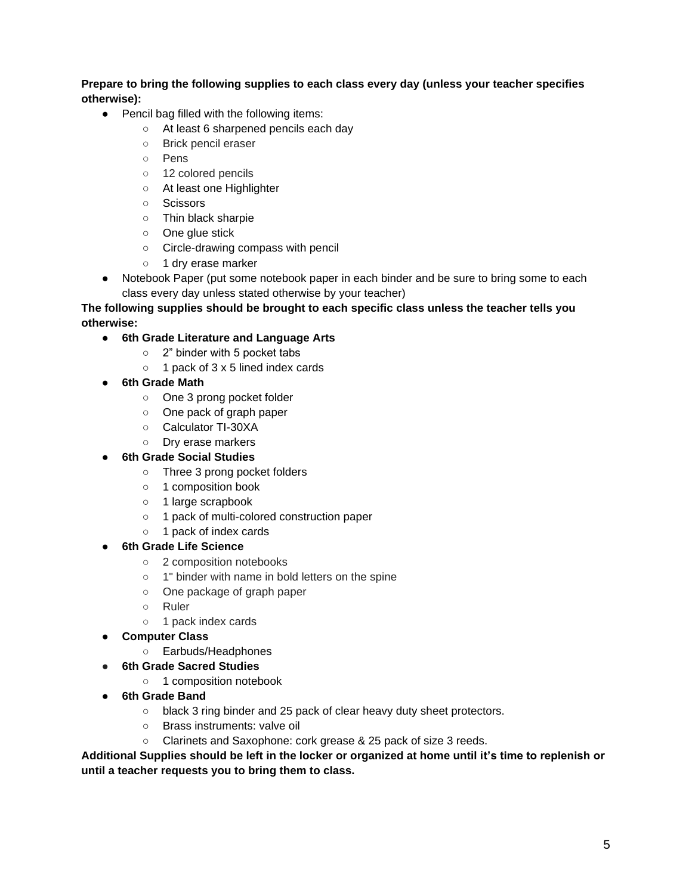**Prepare to bring the following supplies to each class every day (unless your teacher specifies otherwise):**

- Pencil bag filled with the following items:
	- At least 6 sharpened pencils each day
	- Brick pencil eraser
	- Pens
	- 12 colored pencils
	- At least one Highlighter
	- Scissors
	- Thin black sharpie
	- One glue stick
	- Circle-drawing compass with pencil
	- 1 dry erase marker
- Notebook Paper (put some notebook paper in each binder and be sure to bring some to each class every day unless stated otherwise by your teacher)

#### **The following supplies should be brought to each specific class unless the teacher tells you otherwise:**

- **6th Grade Literature and Language Arts**
	- 2" binder with 5 pocket tabs
	- 1 pack of 3 x 5 lined index cards
- **6th Grade Math**
	- One 3 prong pocket folder
	- One pack of graph paper
	- Calculator TI-30XA
	- Dry erase markers
- **6th Grade Social Studies**
	- Three 3 prong pocket folders
	- 1 composition book
	- 1 large scrapbook
	- 1 pack of multi-colored construction paper
	- o 1 pack of index cards
- **6th Grade Life Science** 
	- 2 composition notebooks
	- 1" binder with name in bold letters on the spine
	- One package of graph paper
	- Ruler
	- 1 pack index cards
- **Computer Class**
	- Earbuds/Headphones
- **6th Grade Sacred Studies**
	- 1 composition notebook
- **6th Grade Band**
	- black 3 ring binder and 25 pack of clear heavy duty sheet protectors.
	- Brass instruments: valve oil
	- Clarinets and Saxophone: cork grease & 25 pack of size 3 reeds.

**Additional Supplies should be left in the locker or organized at home until it's time to replenish or until a teacher requests you to bring them to class.**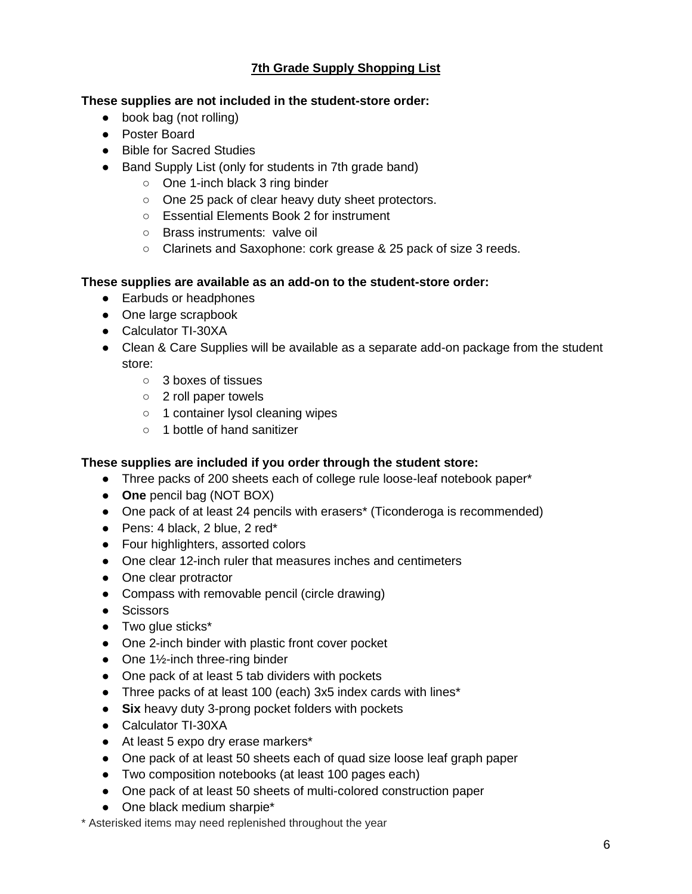# **7th Grade Supply Shopping List**

## **These supplies are not included in the student-store order:**

- book bag (not rolling)
- Poster Board
- Bible for Sacred Studies
- Band Supply List (only for students in 7th grade band)
	- One 1-inch black 3 ring binder
	- One 25 pack of clear heavy duty sheet protectors.
	- Essential Elements Book 2 for instrument
	- Brass instruments: valve oil
	- Clarinets and Saxophone: cork grease & 25 pack of size 3 reeds.

## **These supplies are available as an add-on to the student-store order:**

- Earbuds or headphones
- One large scrapbook
- Calculator TI-30XA
- Clean & Care Supplies will be available as a separate add-on package from the student store:
	- 3 boxes of tissues
	- 2 roll paper towels
	- 1 container lysol cleaning wipes
	- 1 bottle of hand sanitizer

## **These supplies are included if you order through the student store:**

- Three packs of 200 sheets each of college rule loose-leaf notebook paper\*
- **One** pencil bag (NOT BOX)
- One pack of at least 24 pencils with erasers\* (Ticonderoga is recommended)
- $\bullet$  Pens: 4 black, 2 blue, 2 red\*
- Four highlighters, assorted colors
- One clear 12-inch ruler that measures inches and centimeters
- One clear protractor
- Compass with removable pencil (circle drawing)
- Scissors
- Two glue sticks\*
- One 2-inch binder with plastic front cover pocket
- One  $1\frac{1}{2}$ -inch three-ring binder
- One pack of at least 5 tab dividers with pockets
- Three packs of at least 100 (each) 3x5 index cards with lines\*
- **Six** heavy duty 3-prong pocket folders with pockets
- Calculator TI-30XA
- At least 5 expo dry erase markers\*
- One pack of at least 50 sheets each of quad size loose leaf graph paper
- Two composition notebooks (at least 100 pages each)
- One pack of at least 50 sheets of multi-colored construction paper
- One black medium sharpie\*

\* Asterisked items may need replenished throughout the year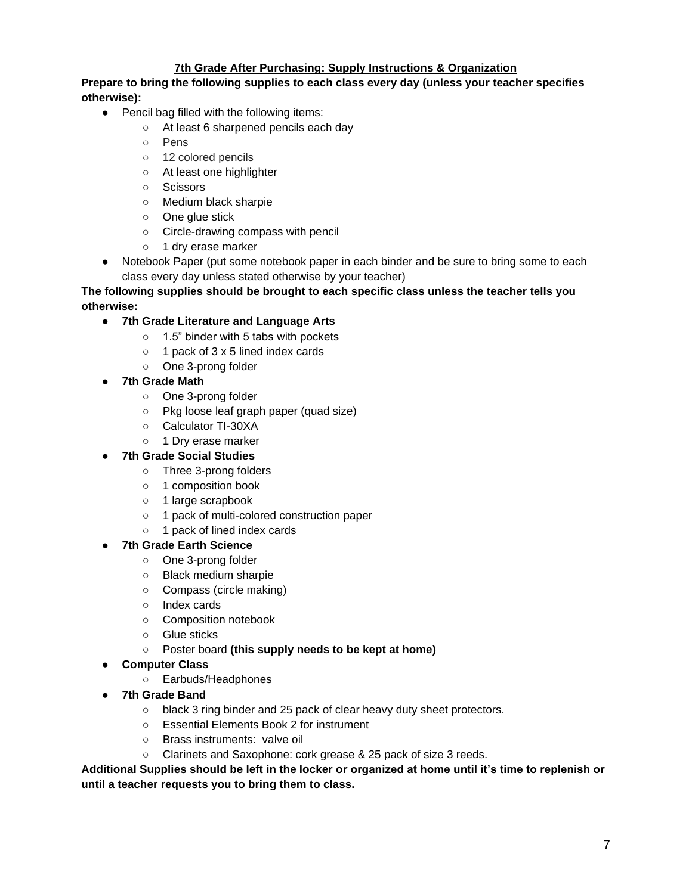#### **7th Grade After Purchasing: Supply Instructions & Organization**

**Prepare to bring the following supplies to each class every day (unless your teacher specifies otherwise):**

- Pencil bag filled with the following items:
	- At least 6 sharpened pencils each day
	- Pens
	- 12 colored pencils
	- At least one highlighter
	- Scissors
	- Medium black sharpie
	- One glue stick
	- Circle-drawing compass with pencil
	- 1 dry erase marker
- Notebook Paper (put some notebook paper in each binder and be sure to bring some to each class every day unless stated otherwise by your teacher)

#### **The following supplies should be brought to each specific class unless the teacher tells you otherwise:**

- **7th Grade Literature and Language Arts**
	- 1.5" binder with 5 tabs with pockets
	- 1 pack of 3 x 5 lined index cards
	- One 3-prong folder
- **7th Grade Math**
	- One 3-prong folder
	- Pkg loose leaf graph paper (quad size)
	- Calculator TI-30XA
	- 1 Dry erase marker
- **7th Grade Social Studies**
	- Three 3-prong folders
	- 1 composition book
	- 1 large scrapbook
	- 1 pack of multi-colored construction paper
	- 1 pack of lined index cards

#### **7th Grade Earth Science**

- One 3-prong folder
- Black medium sharpie
- Compass (circle making)
- Index cards
- Composition notebook
- Glue sticks
- Poster board **(this supply needs to be kept at home)**
- **Computer Class**
	- Earbuds/Headphones
- **7th Grade Band**
	- black 3 ring binder and 25 pack of clear heavy duty sheet protectors.
	- Essential Elements Book 2 for instrument
	- Brass instruments: valve oil
	- Clarinets and Saxophone: cork grease & 25 pack of size 3 reeds.

**Additional Supplies should be left in the locker or organized at home until it's time to replenish or until a teacher requests you to bring them to class.**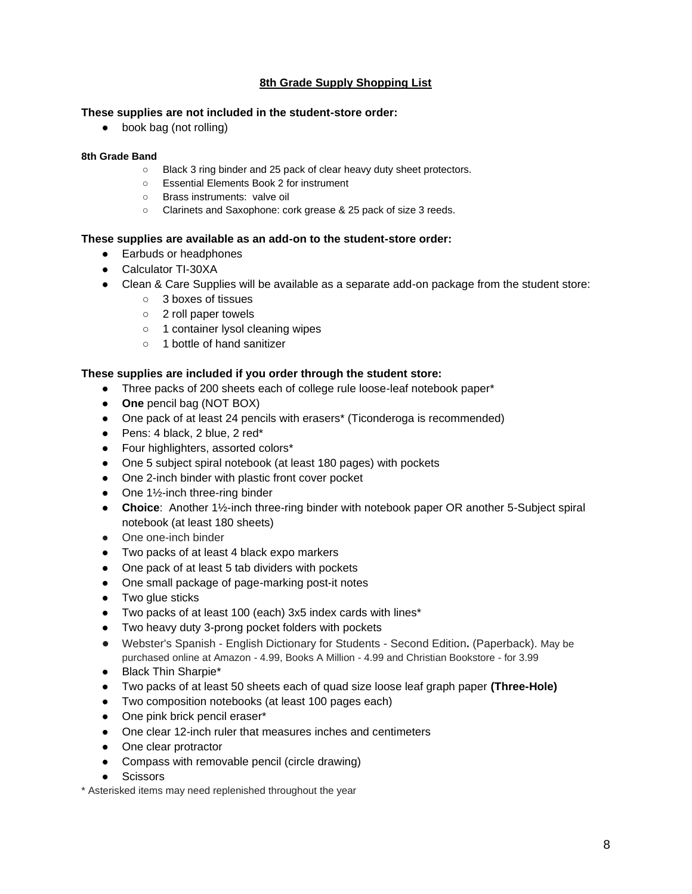#### **8th Grade Supply Shopping List**

#### **These supplies are not included in the student-store order:**

● book bag (not rolling)

#### **8th Grade Band**

- Black 3 ring binder and 25 pack of clear heavy duty sheet protectors.
- Essential Elements Book 2 for instrument
- Brass instruments: valve oil
- Clarinets and Saxophone: cork grease & 25 pack of size 3 reeds.

#### **These supplies are available as an add-on to the student-store order:**

- Earbuds or headphones
- Calculator TI-30XA
- Clean & Care Supplies will be available as a separate add-on package from the student store:
	- 3 boxes of tissues
	- 2 roll paper towels
	- 1 container lysol cleaning wipes
	- 1 bottle of hand sanitizer

#### **These supplies are included if you order through the student store:**

- Three packs of 200 sheets each of college rule loose-leaf notebook paper\*
- **One** pencil bag (NOT BOX)
- One pack of at least 24 pencils with erasers\* (Ticonderoga is recommended)
- Pens: 4 black, 2 blue, 2 red\*
- Four highlighters, assorted colors\*
- One 5 subject spiral notebook (at least 180 pages) with pockets
- One 2-inch binder with plastic front cover pocket
- One  $1\frac{1}{2}$ -inch three-ring binder
- **Choice**: Another 1½-inch three-ring binder with notebook paper OR another 5-Subject spiral notebook (at least 180 sheets)
- One one-inch binder
- Two packs of at least 4 black expo markers
- One pack of at least 5 tab dividers with pockets
- One small package of page-marking post-it notes
- Two glue sticks
- Two packs of at least 100 (each) 3x5 index cards with lines\*
- Two heavy duty 3-prong pocket folders with pockets
- Webster's Spanish English Dictionary for Students Second Edition**.** (Paperback). May be purchased online at Amazon - 4.99, Books A Million - 4.99 and Christian Bookstore - for 3.99
- Black Thin Sharpie\*
- Two packs of at least 50 sheets each of quad size loose leaf graph paper **(Three-Hole)**
- Two composition notebooks (at least 100 pages each)
- One pink brick pencil eraser\*
- One clear 12-inch ruler that measures inches and centimeters
- One clear protractor
- Compass with removable pencil (circle drawing)
- Scissors

\* Asterisked items may need replenished throughout the year